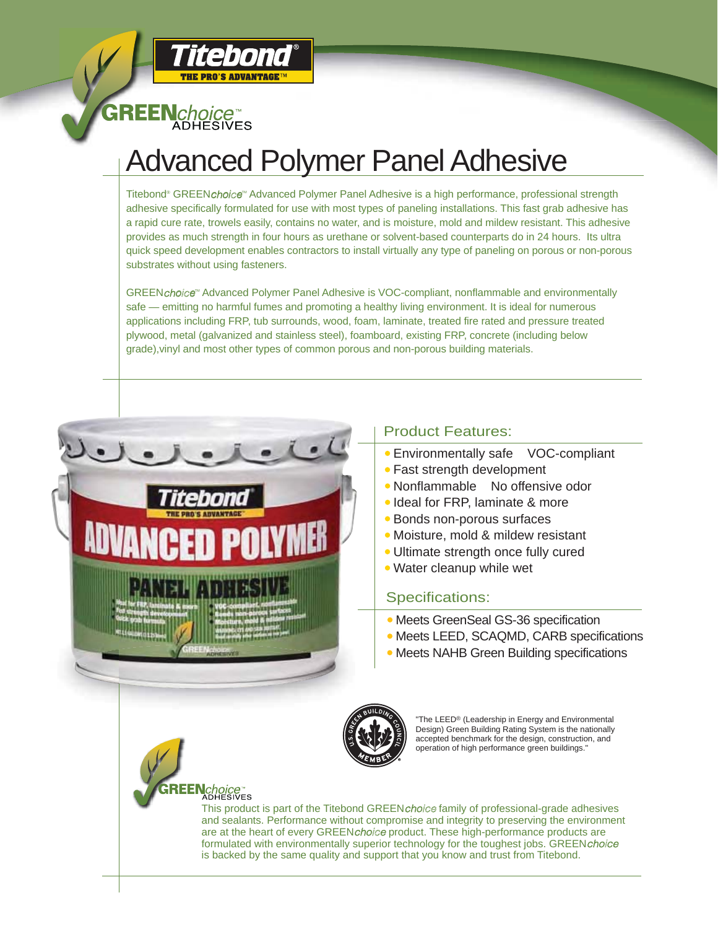

itebond

**THE PRO'S ADVANTAGE** 

## Advanced Polymer Panel Adhesive

Titebond® GREEN*choice*™ Advanced Polymer Panel Adhesive is a high performance, professional strength adhesive specifically formulated for use with most types of paneling installations. This fast grab adhesive has a rapid cure rate, trowels easily, contains no water, and is moisture, mold and mildew resistant. This adhesive provides as much strength in four hours as urethane or solvent-based counterparts do in 24 hours. Its ultra quick speed development enables contractors to install virtually any type of paneling on porous or non-porous substrates without using fasteners.

GREENchoice<sup>w</sup> Advanced Polymer Panel Adhesive is VOC-compliant, nonflammable and environmentally safe — emitting no harmful fumes and promoting a healthy living environment. It is ideal for numerous applications including FRP, tub surrounds, wood, foam, laminate, treated fire rated and pressure treated plywood, metal (galvanized and stainless steel), foamboard, existing FRP, concrete (including below grade),vinyl and most other types of common porous and non-porous building materials.



## Product Features:

- Environmentally safe VOC-compliant
- Fast strength development
- Nonflammable No offensive odor
- Ideal for FRP, laminate & more
- Bonds non-porous surfaces
- Moisture, mold & mildew resistant
- Ultimate strength once fully cured
- Water cleanup while wet

## Specifications:

- Meets GreenSeal GS-36 specification
- Meets LEED, SCAQMD, CARB specifications
- Meets NAHB Green Building specifications



"The LEED® (Leadership in Energy and Environmental Design) Green Building Rating System is the nationally accepted benchmark for the design, construction, and operation of high performance green buildings."

This product is part of the Titebond GREENchoicefamily of professional-grade adhesives and sealants. Performance without compromise and integrity to preserving the environment are at the heart of every GREENchoice product. These high-performance products are formulated with environmentally superior technology for the toughest jobs. GREENchoice is backed by the same quality and support that you know and trust from Titebond.